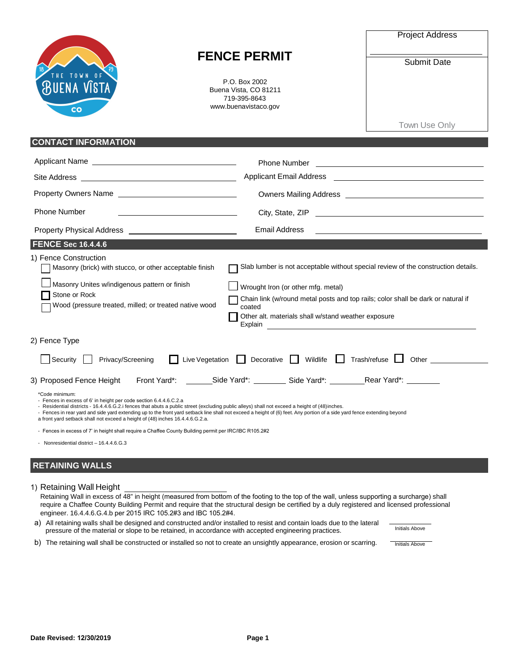

## **FENCE PERMIT**

P.O. Box 2002 Buena Vista, CO 81211 719-395-8643 [www.buenavistaco.gov](http://www.buenavistaco.gov/)

Project Address

Submit Date

Town Use Only

## **CONTACT INFORMATION**

| Applicant Name and the state of the state of the state of the state of the state of the state of the state of the state of the state of the state of the state of the state of the state of the state of the state of the stat                                                                                                                                                                                                                                                                    | <b>Phone Number</b><br><u> 1980 - Jan Samuel Barbara, margaret e</u> n 1980 eta eta 1980 - Antonio Barbara, espainiar eta espainiar eta 1980                                                                                                                                 |
|---------------------------------------------------------------------------------------------------------------------------------------------------------------------------------------------------------------------------------------------------------------------------------------------------------------------------------------------------------------------------------------------------------------------------------------------------------------------------------------------------|------------------------------------------------------------------------------------------------------------------------------------------------------------------------------------------------------------------------------------------------------------------------------|
|                                                                                                                                                                                                                                                                                                                                                                                                                                                                                                   | <b>Applicant Email Address</b><br><u> 1989 - Andrea Station Barbara, amerikan personal (h. 1989)</u>                                                                                                                                                                         |
| Property Owners Name                                                                                                                                                                                                                                                                                                                                                                                                                                                                              |                                                                                                                                                                                                                                                                              |
| <b>Phone Number</b>                                                                                                                                                                                                                                                                                                                                                                                                                                                                               |                                                                                                                                                                                                                                                                              |
| Property Physical Address <b>Example 20</b> No. 1996                                                                                                                                                                                                                                                                                                                                                                                                                                              | Email Address                                                                                                                                                                                                                                                                |
| <b>FENCE Sec 16.4.4.6</b>                                                                                                                                                                                                                                                                                                                                                                                                                                                                         |                                                                                                                                                                                                                                                                              |
| 1) Fence Construction<br>Masonry (brick) with stucco, or other acceptable finish<br>Masonry Unites w/indigenous pattern or finish<br>Stone or Rock<br>Wood (pressure treated, milled; or treated native wood                                                                                                                                                                                                                                                                                      | Slab lumber is not acceptable without special review of the construction details.<br>Wrought Iron (or other mfg. metal)<br>Chain link (w/round metal posts and top rails; color shall be dark or natural if<br>coated<br>Other alt. materials shall w/stand weather exposure |
| 2) Fence Type                                                                                                                                                                                                                                                                                                                                                                                                                                                                                     |                                                                                                                                                                                                                                                                              |
| Privacy/Screening<br>Security                                                                                                                                                                                                                                                                                                                                                                                                                                                                     | Trash/refuse $\Box$<br>Live Vegetation Decorative Wildlife<br><b>Other Community</b>                                                                                                                                                                                         |
| 3) Proposed Fence Height                                                                                                                                                                                                                                                                                                                                                                                                                                                                          | Front Yard*: _______Side Yard*: _________ Side Yard*: __________ Rear Yard*: ________                                                                                                                                                                                        |
| *Code minimum:<br>- Fences in excess of 6' in height per code section 6.4.4.6.C.2.a<br>- Residential districts - 16.4.4.6.G.2.i fences that abuts a public street (excluding public alleys) shall not exceed a height of (48)inches.<br>- Fences in rear yard and side yard extending up to the front yard setback line shall not exceed a height of (6) feet. Any portion of a side yard fence extending beyond<br>a front yard setback shall not exceed a height of (48) inches 16.4.4.6.G.2.a. |                                                                                                                                                                                                                                                                              |
| - Fences in excess of 7' in height shall require a Chaffee County Building permit per IRC/IBC R105.2#2                                                                                                                                                                                                                                                                                                                                                                                            |                                                                                                                                                                                                                                                                              |

- Nonresidential district – 16.4.4.6.G.3

## **RETAINING WALLS**

## 1) Retaining Wall Height

Retaining Wall in excess of 48" in height (measured from bottom of the footing to the top of the wall, unless supporting a surcharge) shall require a Chaffee County Building Permit and require that the structural design be certified by a duly registered and licensed professional engineer. 16.4.4.6.G.4.b per 2015 IRC 105.2#3 and IBC 105.2#4.

a) All retaining walls shall be designed and constructed and/or installed to resist and contain loads due to the lateral pressure of the material or slope to be retained, in accordance with accepted engineering practices.

Initials Above

b) The retaining wall shall be constructed or installed so not to create an unsightly appearance, erosion or scarring. Thitials Above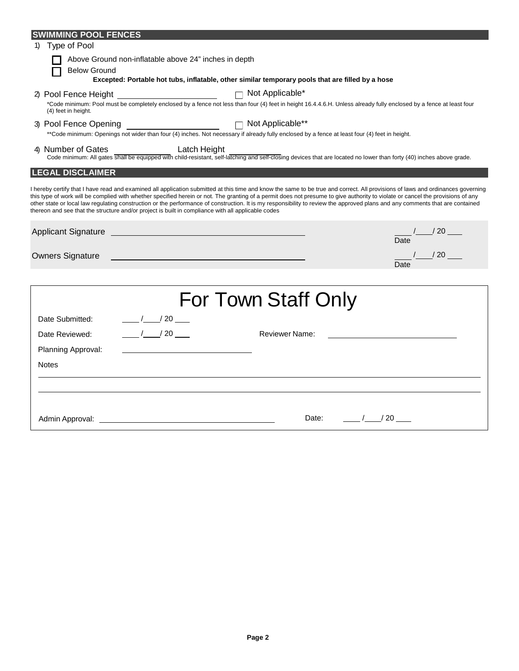| <b>SWIMMING POOL FENCES</b>                                                                                                                                                                                                                                                                                                                                                                                                                                                                                                                                                                                                                               |                                                                                                                                                                      |  |  |  |
|-----------------------------------------------------------------------------------------------------------------------------------------------------------------------------------------------------------------------------------------------------------------------------------------------------------------------------------------------------------------------------------------------------------------------------------------------------------------------------------------------------------------------------------------------------------------------------------------------------------------------------------------------------------|----------------------------------------------------------------------------------------------------------------------------------------------------------------------|--|--|--|
| 1) Type of Pool                                                                                                                                                                                                                                                                                                                                                                                                                                                                                                                                                                                                                                           |                                                                                                                                                                      |  |  |  |
| Above Ground non-inflatable above 24" inches in depth                                                                                                                                                                                                                                                                                                                                                                                                                                                                                                                                                                                                     |                                                                                                                                                                      |  |  |  |
| <b>Below Ground</b>                                                                                                                                                                                                                                                                                                                                                                                                                                                                                                                                                                                                                                       |                                                                                                                                                                      |  |  |  |
| Excepted: Portable hot tubs, inflatable, other similar temporary pools that are filled by a hose                                                                                                                                                                                                                                                                                                                                                                                                                                                                                                                                                          |                                                                                                                                                                      |  |  |  |
| (4) feet in height.                                                                                                                                                                                                                                                                                                                                                                                                                                                                                                                                                                                                                                       | *Code minimum: Pool must be completely enclosed by a fence not less than four (4) feet in height 16.4.4.6.H. Unless already fully enclosed by a fence at least four  |  |  |  |
| Pool Fence Opening<br>**Code minimum: Openings not wider than four (4) inches. Not necessary if already fully enclosed by a fence at least four (4) feet in height.<br>3) Pool Fence Opening                                                                                                                                                                                                                                                                                                                                                                                                                                                              |                                                                                                                                                                      |  |  |  |
|                                                                                                                                                                                                                                                                                                                                                                                                                                                                                                                                                                                                                                                           |                                                                                                                                                                      |  |  |  |
| 4) Number of Gates<br><b>Example 12</b> Latch Height                                                                                                                                                                                                                                                                                                                                                                                                                                                                                                                                                                                                      | Code minimum: All gates shall be equipped with child-resistant, self-latching and self-closing devices that are located no lower than forty (40) inches above grade. |  |  |  |
| <b>LEGAL DISCLAIMER</b>                                                                                                                                                                                                                                                                                                                                                                                                                                                                                                                                                                                                                                   |                                                                                                                                                                      |  |  |  |
| I hereby certify that I have read and examined all application submitted at this time and know the same to be true and correct. All provisions of laws and ordinances governing<br>this type of work will be complied with whether specified herein or not. The granting of a permit does not presume to give authority to violate or cancel the provisions of any<br>other state or local law regulating construction or the performance of construction. It is my responsibility to review the approved plans and any comments that are contained<br>thereon and see that the structure and/or project is built in compliance with all applicable codes |                                                                                                                                                                      |  |  |  |
| Applicant Signature <u>experience</u> and a series of the series of the series of the series of the series of the series of the series of the series of the series of the series of the series of the series of the series of the s                                                                                                                                                                                                                                                                                                                                                                                                                       |                                                                                                                                                                      |  |  |  |
| <b>Owners Signature</b><br><u> 1989 - Johann Stein, marwolaethau a bhann an t-Amhainn an t-Amhainn an t-Amhainn an t-Amhainn an t-Amhainn an</u>                                                                                                                                                                                                                                                                                                                                                                                                                                                                                                          | $\frac{1}{\text{Date}}$ / 20 _____                                                                                                                                   |  |  |  |
|                                                                                                                                                                                                                                                                                                                                                                                                                                                                                                                                                                                                                                                           |                                                                                                                                                                      |  |  |  |
| <b>For Town Staff Only</b>                                                                                                                                                                                                                                                                                                                                                                                                                                                                                                                                                                                                                                |                                                                                                                                                                      |  |  |  |
| Date Submitted:<br>$\frac{1}{2}$ / $\frac{20}{2}$                                                                                                                                                                                                                                                                                                                                                                                                                                                                                                                                                                                                         |                                                                                                                                                                      |  |  |  |
| $/$ $/$ 20 $\_\_$<br>Date Reviewed:                                                                                                                                                                                                                                                                                                                                                                                                                                                                                                                                                                                                                       | <b>Reviewer Name:</b>                                                                                                                                                |  |  |  |
| Planning Approval:                                                                                                                                                                                                                                                                                                                                                                                                                                                                                                                                                                                                                                        |                                                                                                                                                                      |  |  |  |
| <b>Notes</b>                                                                                                                                                                                                                                                                                                                                                                                                                                                                                                                                                                                                                                              |                                                                                                                                                                      |  |  |  |
|                                                                                                                                                                                                                                                                                                                                                                                                                                                                                                                                                                                                                                                           |                                                                                                                                                                      |  |  |  |
|                                                                                                                                                                                                                                                                                                                                                                                                                                                                                                                                                                                                                                                           |                                                                                                                                                                      |  |  |  |
|                                                                                                                                                                                                                                                                                                                                                                                                                                                                                                                                                                                                                                                           |                                                                                                                                                                      |  |  |  |
| Admin Approval: The contract of the contract of the contract of the contract of the contract of the contract of the contract of the contract of the contract of the contract of the contract of the contract of the contract o                                                                                                                                                                                                                                                                                                                                                                                                                            | $\frac{1}{20}$ / 20 $\frac{1}{20}$<br>Date:                                                                                                                          |  |  |  |
|                                                                                                                                                                                                                                                                                                                                                                                                                                                                                                                                                                                                                                                           |                                                                                                                                                                      |  |  |  |